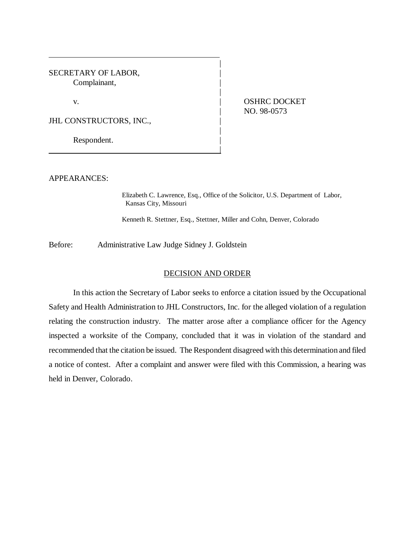SECRETARY OF LABOR, Complainant, |

v. **ICLOSED CONTRACT OSHRC DOCKET** | NO. 98-0573

JHL CONSTRUCTORS, INC.,

Respondent.

APPEARANCES:

Elizabeth C. Lawrence, Esq., Office of the Solicitor, U.S. Department of Labor, Kansas City, Missouri

Kenneth R. Stettner, Esq., Stettner, Miller and Cohn, Denver, Colorado

|

|

|

Before: Administrative Law Judge Sidney J. Goldstein

|

## DECISION AND ORDER

In this action the Secretary of Labor seeks to enforce a citation issued by the Occupational Safety and Health Administration to JHL Constructors, Inc. for the alleged violation of a regulation relating the construction industry. The matter arose after a compliance officer for the Agency inspected a worksite of the Company, concluded that it was in violation of the standard and recommended that the citation be issued. The Respondent disagreed with this determination and filed a notice of contest. After a complaint and answer were filed with this Commission, a hearing was held in Denver, Colorado.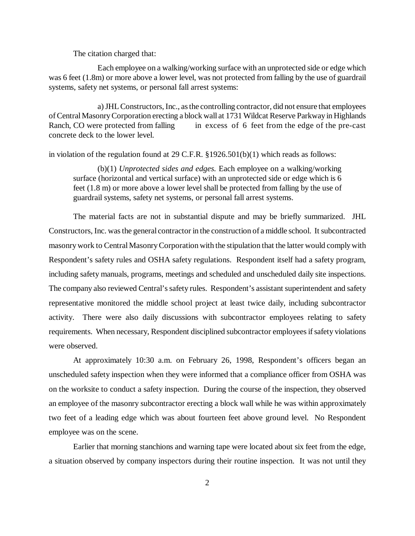The citation charged that:

Each employee on a walking/working surface with an unprotected side or edge which was 6 feet (1.8m) or more above a lower level, was not protected from falling by the use of guardrail systems, safety net systems, or personal fall arrest systems:

a) JHL Constructors, Inc., as the controlling contractor, did not ensure that employees of Central Masonry Corporation erecting a block wall at 1731 Wildcat Reserve Parkway in Highlands Ranch, CO were protected from falling in excess of 6 feet from the edge of the pre-cast concrete deck to the lower level.

in violation of the regulation found at 29 C.F.R. §1926.501(b)(1) which reads as follows:

(b)(1) *Unprotected sides and edges.* Each employee on a walking/working surface (horizontal and vertical surface) with an unprotected side or edge which is 6 feet (1.8 m) or more above a lower level shall be protected from falling by the use of guardrail systems, safety net systems, or personal fall arrest systems.

The material facts are not in substantial dispute and may be briefly summarized. JHL Constructors, Inc. was the general contractor in the construction of a middle school. It subcontracted masonry work to Central Masonry Corporation with the stipulation that the latter would comply with Respondent's safety rules and OSHA safety regulations. Respondent itself had a safety program, including safety manuals, programs, meetings and scheduled and unscheduled daily site inspections. The company also reviewed Central's safety rules. Respondent's assistant superintendent and safety representative monitored the middle school project at least twice daily, including subcontractor activity. There were also daily discussions with subcontractor employees relating to safety requirements. When necessary, Respondent disciplined subcontractor employees if safety violations were observed.

At approximately 10:30 a.m. on February 26, 1998, Respondent's officers began an unscheduled safety inspection when they were informed that a compliance officer from OSHA was on the worksite to conduct a safety inspection. During the course of the inspection, they observed an employee of the masonry subcontractor erecting a block wall while he was within approximately two feet of a leading edge which was about fourteen feet above ground level. No Respondent employee was on the scene.

Earlier that morning stanchions and warning tape were located about six feet from the edge, a situation observed by company inspectors during their routine inspection. It was not until they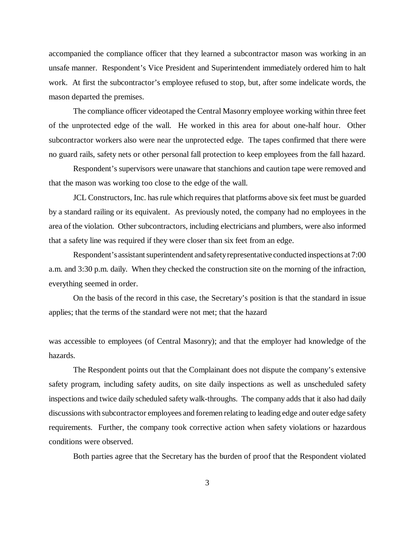accompanied the compliance officer that they learned a subcontractor mason was working in an unsafe manner. Respondent's Vice President and Superintendent immediately ordered him to halt work. At first the subcontractor's employee refused to stop, but, after some indelicate words, the mason departed the premises.

The compliance officer videotaped the Central Masonry employee working within three feet of the unprotected edge of the wall. He worked in this area for about one-half hour. Other subcontractor workers also were near the unprotected edge. The tapes confirmed that there were no guard rails, safety nets or other personal fall protection to keep employees from the fall hazard.

Respondent's supervisors were unaware that stanchions and caution tape were removed and that the mason was working too close to the edge of the wall.

JCL Constructors, Inc. has rule which requires that platforms above six feet must be guarded by a standard railing or its equivalent. As previously noted, the company had no employees in the area of the violation. Other subcontractors, including electricians and plumbers, were also informed that a safety line was required if they were closer than six feet from an edge.

Respondent's assistant superintendent and safety representative conducted inspections at 7:00 a.m. and 3:30 p.m. daily. When they checked the construction site on the morning of the infraction, everything seemed in order.

On the basis of the record in this case, the Secretary's position is that the standard in issue applies; that the terms of the standard were not met; that the hazard

was accessible to employees (of Central Masonry); and that the employer had knowledge of the hazards.

The Respondent points out that the Complainant does not dispute the company's extensive safety program, including safety audits, on site daily inspections as well as unscheduled safety inspections and twice daily scheduled safety walk-throughs. The company adds that it also had daily discussions with subcontractor employees and foremen relating to leading edge and outer edge safety requirements. Further, the company took corrective action when safety violations or hazardous conditions were observed.

Both parties agree that the Secretary has the burden of proof that the Respondent violated